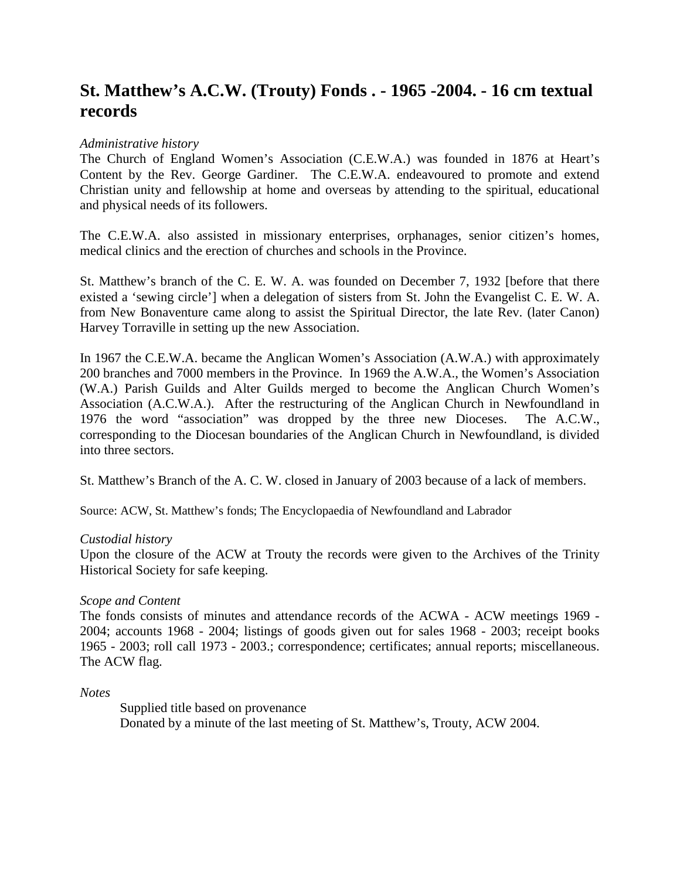# **St. Matthew's A.C.W. (Trouty) Fonds . - 1965 -2004. - 16 cm textual records**

## *Administrative history*

The Church of England Women's Association (C.E.W.A.) was founded in 1876 at Heart's Content by the Rev. George Gardiner. The C.E.W.A. endeavoured to promote and extend Christian unity and fellowship at home and overseas by attending to the spiritual, educational and physical needs of its followers.

The C.E.W.A. also assisted in missionary enterprises, orphanages, senior citizen's homes, medical clinics and the erection of churches and schools in the Province.

St. Matthew's branch of the C. E. W. A. was founded on December 7, 1932 [before that there existed a 'sewing circle'] when a delegation of sisters from St. John the Evangelist C. E. W. A. from New Bonaventure came along to assist the Spiritual Director, the late Rev. (later Canon) Harvey Torraville in setting up the new Association.

In 1967 the C.E.W.A. became the Anglican Women's Association (A.W.A.) with approximately 200 branches and 7000 members in the Province. In 1969 the A.W.A., the Women's Association (W.A.) Parish Guilds and Alter Guilds merged to become the Anglican Church Women's Association (A.C.W.A.). After the restructuring of the Anglican Church in Newfoundland in 1976 the word "association" was dropped by the three new Dioceses. The A.C.W., corresponding to the Diocesan boundaries of the Anglican Church in Newfoundland, is divided into three sectors.

St. Matthew's Branch of the A. C. W. closed in January of 2003 because of a lack of members.

Source: ACW, St. Matthew's fonds; The Encyclopaedia of Newfoundland and Labrador

#### *Custodial history*

Upon the closure of the ACW at Trouty the records were given to the Archives of the Trinity Historical Society for safe keeping.

#### *Scope and Content*

The fonds consists of minutes and attendance records of the ACWA - ACW meetings 1969 - 2004; accounts 1968 - 2004; listings of goods given out for sales 1968 - 2003; receipt books 1965 - 2003; roll call 1973 - 2003.; correspondence; certificates; annual reports; miscellaneous. The ACW flag.

*Notes*

Supplied title based on provenance Donated by a minute of the last meeting of St. Matthew's, Trouty, ACW 2004.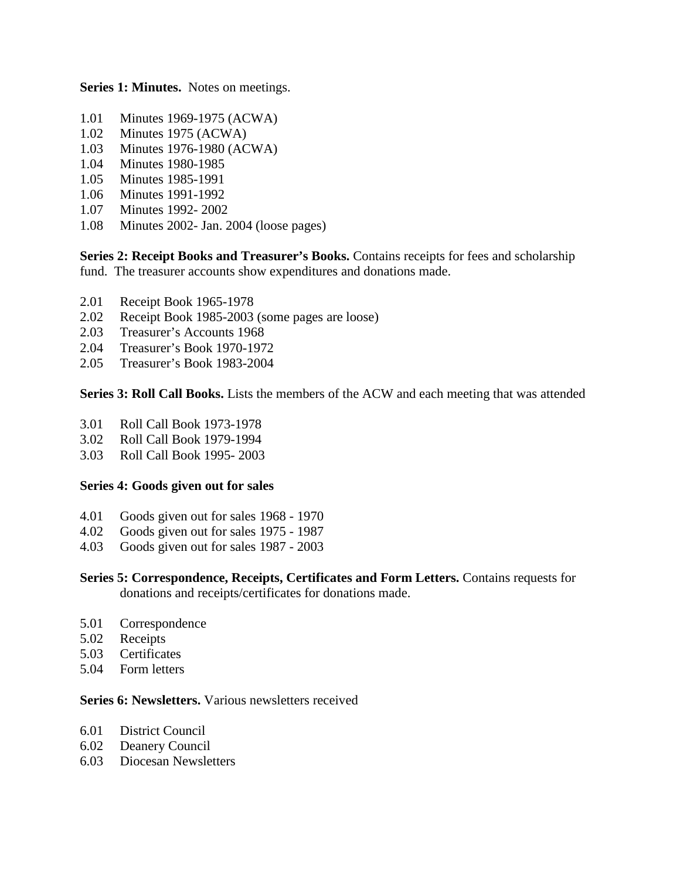**Series 1: Minutes.** Notes on meetings.

- 1.01 Minutes 1969-1975 (ACWA)
- 1.02 Minutes 1975 (ACWA)
- 1.03 Minutes 1976-1980 (ACWA)
- 1.04 Minutes 1980-1985
- 1.05 Minutes 1985-1991
- 1.06 Minutes 1991-1992
- 1.07 Minutes 1992- 2002
- 1.08 Minutes 2002- Jan. 2004 (loose pages)

**Series 2: Receipt Books and Treasurer's Books.** Contains receipts for fees and scholarship fund. The treasurer accounts show expenditures and donations made.

- 2.01 Receipt Book 1965-1978
- 2.02 Receipt Book 1985-2003 (some pages are loose)
- 2.03 Treasurer's Accounts 1968
- 2.04 Treasurer's Book 1970-1972
- 2.05 Treasurer's Book 1983-2004

**Series 3: Roll Call Books.** Lists the members of the ACW and each meeting that was attended

- 3.01 Roll Call Book 1973-1978
- 3.02 Roll Call Book 1979-1994
- 3.03 Roll Call Book 1995- 2003

#### **Series 4: Goods given out for sales**

- 4.01 Goods given out for sales 1968 1970
- 4.02 Goods given out for sales 1975 1987
- 4.03 Goods given out for sales 1987 2003
- **Series 5: Correspondence, Receipts, Certificates and Form Letters.** Contains requests for donations and receipts/certificates for donations made.
- 5.01 Correspondence
- 5.02 Receipts
- 5.03 Certificates
- 5.04 Form letters

### **Series 6: Newsletters.** Various newsletters received

- 6.01 District Council
- 6.02 Deanery Council
- 6.03 Diocesan Newsletters